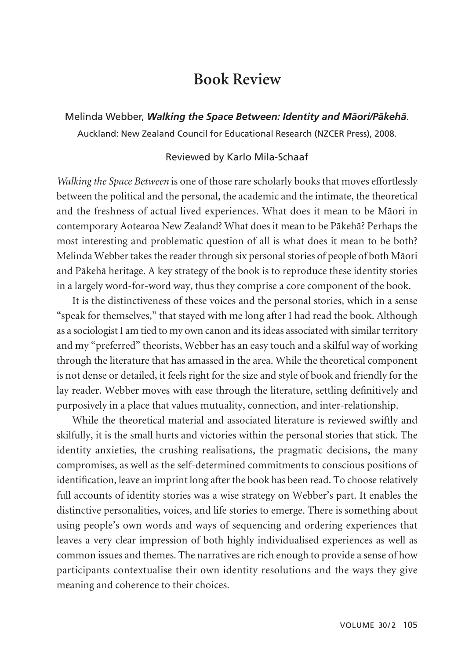## **Book Review**

Melinda Webber, *Walking the Space Between: Identity and Mäori/Päkehä*. Auckland: New Zealand Council for Educational Research (NZCER Press), 2008.

## Reviewed by Karlo Mila-Schaaf

*Walking the Space Between* is one of those rare scholarly books that moves effortlessly between the political and the personal, the academic and the intimate, the theoretical and the freshness of actual lived experiences. What does it mean to be Mäori in contemporary Aotearoa New Zealand? What does it mean to be Päkehä? Perhaps the most interesting and problematic question of all is what does it mean to be both? Melinda Webber takes the reader through six personal stories of people of both Mäori and Päkehä heritage. A key strategy of the book is to reproduce these identity stories in a largely word-for-word way, thus they comprise a core component of the book.

It is the distinctiveness of these voices and the personal stories, which in a sense "speak for themselves," that stayed with me long after I had read the book. Although as a sociologist I am tied to my own canon and its ideas associated with similar territory and my "preferred" theorists, Webber has an easy touch and a skilful way of working through the literature that has amassed in the area. While the theoretical component is not dense or detailed, it feels right for the size and style of book and friendly for the lay reader. Webber moves with ease through the literature, settling definitively and purposively in a place that values mutuality, connection, and inter-relationship.

While the theoretical material and associated literature is reviewed swiftly and skilfully, it is the small hurts and victories within the personal stories that stick. The identity anxieties, the crushing realisations, the pragmatic decisions, the many compromises, as well as the self-determined commitments to conscious positions of identification, leave an imprint long after the book has been read. To choose relatively full accounts of identity stories was a wise strategy on Webber's part. It enables the distinctive personalities, voices, and life stories to emerge. There is something about using people's own words and ways of sequencing and ordering experiences that leaves a very clear impression of both highly individualised experiences as well as common issues and themes. The narratives are rich enough to provide a sense of how participants contextualise their own identity resolutions and the ways they give meaning and coherence to their choices.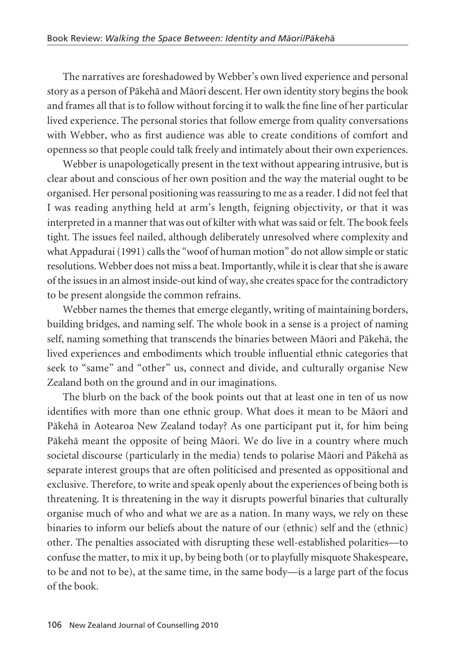The narratives are foreshadowed by Webber's own lived experience and personal story as a person of Päkehä and Mäori descent. Her own identity story begins the book and frames all that is to follow without forcing it to walk the fine line of her particular lived experience. The personal stories that follow emerge from quality conversations with Webber, who as first audience was able to create conditions of comfort and openness so that people could talk freely and intimately about their own experiences.

Webber is unapologetically present in the text without appearing intrusive, but is clear about and conscious of her own position and the way the material ought to be organised. Her personal positioning was reassuring to me as a reader. I did not feel that I was reading anything held at arm's length, feigning objectivity, or that it was interpreted in a manner that was out of kilter with what was said or felt. The book feels tight. The issues feel nailed, although deliberately unresolved where complexity and what Appadurai (1991) calls the "woof of human motion" do not allow simple or static resolutions. Webber does not miss a beat. Importantly, while it is clear that she is aware of the issues in an almost inside-out kind of way, she creates space for the contradictory to be present alongside the common refrains.

Webber names the themes that emerge elegantly, writing of maintaining borders, building bridges, and naming self. The whole book in a sense is a project of naming self, naming something that transcends the binaries between Mäori and Päkehä, the lived experiences and embodiments which trouble influential ethnic categories that seek to "same" and "other" us, connect and divide, and culturally organise New Zealand both on the ground and in our imaginations.

The blurb on the back of the book points out that at least one in ten of us now identifies with more than one ethnic group. What does it mean to be Mäori and Päkehä in Aotearoa New Zealand today? As one participant put it, for him being Päkehä meant the opposite of being Mäori. We do live in a country where much societal discourse (particularly in the media) tends to polarise Mäori and Päkehä as separate interest groups that are often politicised and presented as oppositional and exclusive. Therefore, to write and speak openly about the experiences of being both is threatening. It is threatening in the way it disrupts powerful binaries that culturally organise much of who and what we are as a nation. In many ways, we rely on these binaries to inform our beliefs about the nature of our (ethnic) self and the (ethnic) other. The penalties associated with disrupting these well-established polarities—to confuse the matter, to mix it up, by being both (or to playfully misquote Shakespeare, to be and not to be), at the same time, in the same body—is a large part of the focus of the book.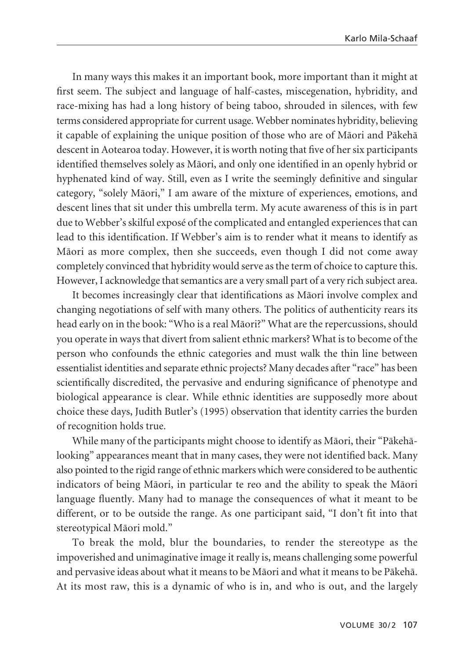In many ways this makes it an important book, more important than it might at first seem. The subject and language of half-castes, miscegenation, hybridity, and race-mixing has had a long history of being taboo, shrouded in silences, with few terms considered appropriate for current usage. Webber nominates hybridity, believing it capable of explaining the unique position of those who are of Mäori and Päkehä descent in Aotearoa today. However, it is worth noting that five of her six participants identified themselves solely as Mäori, and only one identified in an openly hybrid or hyphenated kind of way. Still, even as I write the seemingly definitive and singular category, "solely Mäori," I am aware of the mixture of experiences, emotions, and descent lines that sit under this umbrella term. My acute awareness of this is in part due to Webber's skilful exposé of the complicated and entangled experiences that can lead to this identification. If Webber's aim is to render what it means to identify as Mäori as more complex, then she succeeds, even though I did not come away completely convinced that hybridity would serve as the term of choice to capture this. However, I acknowledge that semantics are a very small part of a very rich subject area.

It becomes increasingly clear that identifications as Mäori involve complex and changing negotiations of self with many others. The politics of authenticity rears its head early on in the book: "Who is a real Mäori?" What are the repercussions, should you operate in ways that divert from salient ethnic markers? What is to become of the person who confounds the ethnic categories and must walk the thin line between essentialist identities and separate ethnic projects? Many decades after "race" has been scientifically discredited, the pervasive and enduring significance of phenotype and biological appearance is clear. While ethnic identities are supposedly more about choice these days, Judith Butler's (1995) observation that identity carries the burden of recognition holds true.

While many of the participants might choose to identify as Mäori, their "Päkehälooking" appearances meant that in many cases, they were not identified back. Many also pointed to the rigid range of ethnic markers which were considered to be authentic indicators of being Mäori, in particular te reo and the ability to speak the Mäori language fluently. Many had to manage the consequences of what it meant to be different, or to be outside the range. As one participant said, "I don't fit into that stereotypical Mäori mold."

To break the mold, blur the boundaries, to render the stereotype as the impoverished and unimaginative image it really is, means challenging some powerful and pervasive ideas about what it means to be Mäori and what it means to be Päkehä. At its most raw, this is a dynamic of who is in, and who is out, and the largely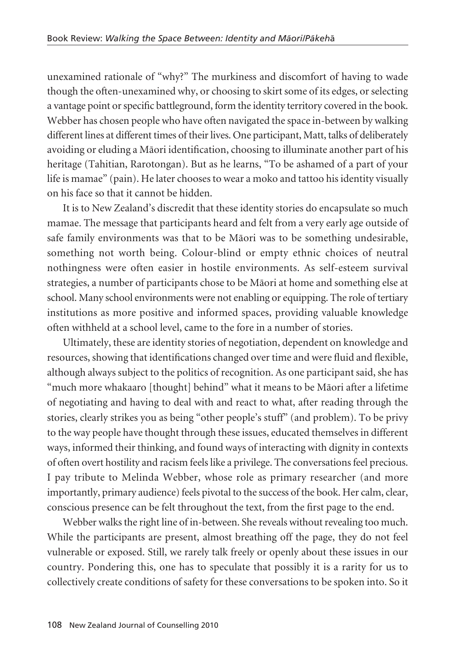unexamined rationale of "why?" The murkiness and discomfort of having to wade though the often-unexamined why, or choosing to skirt some of its edges, or selecting a vantage point or specific battleground, form the identity territory covered in the book. Webber has chosen people who have often navigated the space in-between by walking different lines at different times of their lives. One participant, Matt, talks of deliberately avoiding or eluding a Mäori identification, choosing to illuminate another part of his heritage (Tahitian, Rarotongan). But as he learns, "To be ashamed of a part of your life is mamae" (pain). He later chooses to wear a moko and tattoo his identity visually on his face so that it cannot be hidden.

It is to New Zealand's discredit that these identity stories do encapsulate so much mamae. The message that participants heard and felt from a very early age outside of safe family environments was that to be Mäori was to be something undesirable, something not worth being. Colour-blind or empty ethnic choices of neutral nothingness were often easier in hostile environments. As self-esteem survival strategies, a number of participants chose to be Mäori at home and something else at school. Many school environments were not enabling or equipping. The role of tertiary institutions as more positive and informed spaces, providing valuable knowledge often withheld at a school level, came to the fore in a number of stories.

Ultimately, these are identity stories of negotiation, dependent on knowledge and resources, showing that identifications changed over time and were fluid and flexible, although always subject to the politics of recognition. As one participant said, she has "much more whakaaro [thought] behind" what it means to be Mäori after a lifetime of negotiating and having to deal with and react to what, after reading through the stories, clearly strikes you as being "other people's stuff" (and problem). To be privy to the way people have thought through these issues, educated themselves in different ways, informed their thinking, and found ways of interacting with dignity in contexts of often overt hostility and racism feels like a privilege. The conversations feel precious. I pay tribute to Melinda Webber, whose role as primary researcher (and more importantly, primary audience) feels pivotal to the success of the book. Her calm, clear, conscious presence can be felt throughout the text, from the first page to the end.

Webber walks the right line of in-between. She reveals without revealing too much. While the participants are present, almost breathing off the page, they do not feel vulnerable or exposed. Still, we rarely talk freely or openly about these issues in our country. Pondering this, one has to speculate that possibly it is a rarity for us to collectively create conditions of safety for these conversations to be spoken into. So it